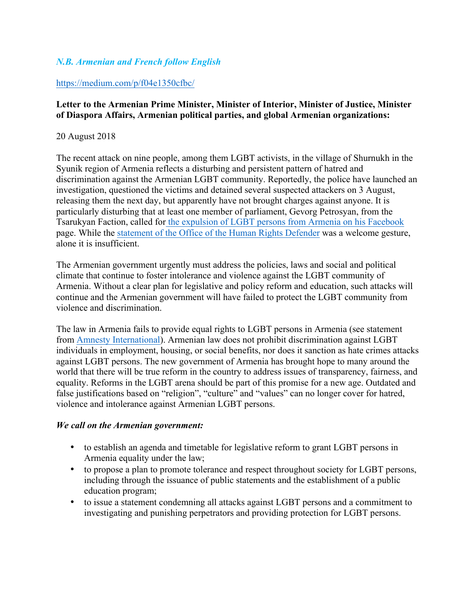## *N.B. Armenian and French follow English*

## https://medium.com/p/f04e1350cfbc/

## **Letter to the Armenian Prime Minister, Minister of Interior, Minister of Justice, Minister of Diaspora Affairs, Armenian political parties, and global Armenian organizations:**

### 20 August 2018

The recent attack on nine people, among them LGBT activists, in the village of Shurnukh in the Syunik region of Armenia reflects a disturbing and persistent pattern of hatred and discrimination against the Armenian LGBT community. Reportedly, the police have launched an investigation, questioned the victims and detained several suspected attackers on 3 August, releasing them the next day, but apparently have not brought charges against anyone. It is particularly disturbing that at least one member of parliament, Gevorg Petrosyan, from the Tsarukyan Faction, called for the expulsion of LGBT persons from Armenia on his Facebook page. While the statement of the Office of the Human Rights Defender was a welcome gesture, alone it is insufficient.

The Armenian government urgently must address the policies, laws and social and political climate that continue to foster intolerance and violence against the LGBT community of Armenia. Without a clear plan for legislative and policy reform and education, such attacks will continue and the Armenian government will have failed to protect the LGBT community from violence and discrimination.

The law in Armenia fails to provide equal rights to LGBT persons in Armenia (see statement from Amnesty International). Armenian law does not prohibit discrimination against LGBT individuals in employment, housing, or social benefits, nor does it sanction as hate crimes attacks against LGBT persons. The new government of Armenia has brought hope to many around the world that there will be true reform in the country to address issues of transparency, fairness, and equality. Reforms in the LGBT arena should be part of this promise for a new age. Outdated and false justifications based on "religion", "culture" and "values" can no longer cover for hatred, violence and intolerance against Armenian LGBT persons.

#### *We call on the Armenian government:*

- to establish an agenda and timetable for legislative reform to grant LGBT persons in Armenia equality under the law;
- to propose a plan to promote tolerance and respect throughout society for LGBT persons, including through the issuance of public statements and the establishment of a public education program;
- to issue a statement condemning all attacks against LGBT persons and a commitment to investigating and punishing perpetrators and providing protection for LGBT persons.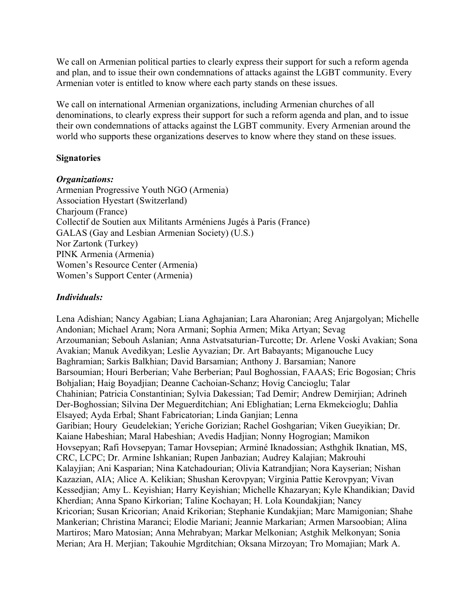We call on Armenian political parties to clearly express their support for such a reform agenda and plan, and to issue their own condemnations of attacks against the LGBT community. Every Armenian voter is entitled to know where each party stands on these issues.

We call on international Armenian organizations, including Armenian churches of all denominations, to clearly express their support for such a reform agenda and plan, and to issue their own condemnations of attacks against the LGBT community. Every Armenian around the world who supports these organizations deserves to know where they stand on these issues.

## **Signatories**

#### *Organizations:*

Armenian Progressive Youth NGO (Armenia) Association Hyestart (Switzerland) Charjoum (France) Collectif de Soutien aux Militants Arméniens Jugés à Paris (France) GALAS (Gay and Lesbian Armenian Society) (U.S.) Nor Zartonk (Turkey) PINK Armenia (Armenia) Women's Resource Center (Armenia) Women's Support Center (Armenia)

## *Individuals:*

Lena Adishian; Nancy Agabian; Liana Aghajanian; Lara Aharonian; Areg Anjargolyan; Michelle Andonian; Michael Aram; Nora Armani; Sophia Armen; Mika Artyan; Sevag Arzoumanian; Sebouh Aslanian; Anna Astvatsaturian-Turcotte; Dr. Arlene Voski Avakian; Sona Avakian; Manuk Avedikyan; Leslie Ayvazian; Dr. Art Babayants; Miganouche Lucy Baghramian; Sarkis Balkhian; David Barsamian; Anthony J. Barsamian; Nanore Barsoumian; Houri Berberian; Vahe Berberian; Paul Boghossian, FAAAS; Eric Bogosian; Chris Bohjalian; Haig Boyadjian; Deanne Cachoian-Schanz; Hovig Cancioglu; Talar Chahinian; Patricia Constantinian; Sylvia Dakessian; Tad Demir; Andrew Demirjian; Adrineh Der-Boghossian; Silvina Der Meguerditchian; Ani Eblighatian; Lerna Ekmekcioglu; Dahlia Elsayed; Ayda Erbal; Shant Fabricatorian; Linda Ganjian; Lenna Garibian; Houry Geudelekian; Yeriche Gorizian; Rachel Goshgarian; Viken Gueyikian; Dr. Kaiane Habeshian; Maral Habeshian; Avedis Hadjian; Nonny Hogrogian; Mamikon Hovsepyan; Rafi Hovsepyan; Tamar Hovsepian; Arminé Iknadossian; Asthghik Iknatian, MS, CRC, LCPC; Dr. Armine Ishkanian; Rupen Janbazian; Audrey Kalajian; Makrouhi Kalayjian; Ani Kasparian; Nina Katchadourian; Olivia Katrandjian; Nora Kayserian; Nishan Kazazian, AIA; Alice A. Kelikian; Shushan Kerovpyan; Virginia Pattie Kerovpyan; Vivan Kessedjian; Amy L. Keyishian; Harry Keyishian; Michelle Khazaryan; Kyle Khandikian; David Kherdian; Anna Spano Kirkorian; Taline Kochayan; H. Lola Koundakjian; Nancy Kricorian; Susan Kricorian; Anaid Krikorian; Stephanie Kundakjian; Marc Mamigonian; Shahe Mankerian; Christina Maranci; Elodie Mariani; Jeannie Markarian; Armen Marsoobian; Alina Martiros; Maro Matosian; Anna Mehrabyan; Markar Melkonian; Astghik Melkonyan; Sonia Merian; Ara H. Merjian; Takouhie Mgrditchian; Oksana Mirzoyan; Tro Momajian; Mark A.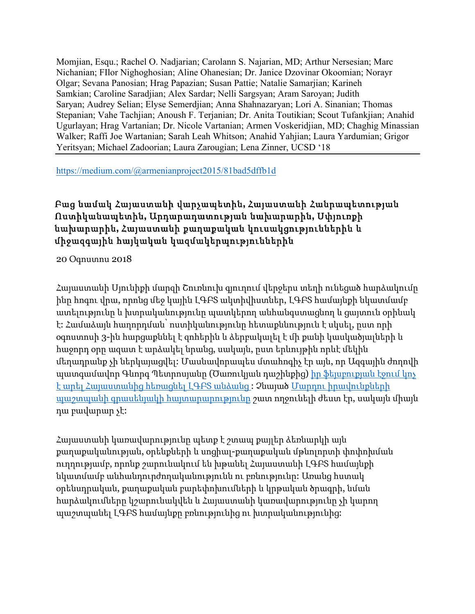Momjian, Esqu.; Rachel O. Nadjarian; Carolann S. Najarian, MD; Arthur Nersesian; Marc Nichanian; FIlor Nighoghosian; Aline Ohanesian; Dr. Janice Dzovinar Okoomian; Norayr Olgar; Sevana Panosian; Hrag Papazian; Susan Pattie; Natalie Samarjian; Karineh Samkian; Caroline Saradjian; Alex Sardar; Nelli Sargsyan; Aram Saroyan; Judith Saryan; Audrey Selian; Elyse Semerdjian; Anna Shahnazaryan; Lori A. Sinanian; Thomas Stepanian; Vahe Tachjian; Anoush F. Terjanian; Dr. Anita Toutikian; Scout Tufankjian; Anahid Ugurlayan; Hrag Vartanian; Dr. Nicole Vartanian; Armen Voskeridjian, MD; Chaghig Minassian Walker; Raffi Joe Wartanian; Sarah Leah Whitson; Anahid Yahjian; Laura Yardumian; Grigor Yeritsyan; Michael Zadoorian; Laura Zarougian; Lena Zinner, UCSD '18

https://medium.com/@armenianproject2015/81bad5dffb1d

# Բաց նամակ Հայաստանի վարչապետին**,** Հայաստանի Հանրապետության Ոստիկանապետին**,** Արդարադատության նախարարին**,** Սփյուռքի նախարարին**,** Հայաստանի քաղաքական կուսակցություններին և միջազգային հայկական կազմակերպություններին

20 Օգոստոս 2018

Հայաստանի Սյունիքի մարզի Շուռնուխ գյուղում վերջերս տեղի ունեցած հարձակումը ինը հոգու վրա, որոնց մեջ կային ԼԳԲՏ ակտիվիստներ, ԼԳԲՏ համայնքի նկատմամբ ատելությունը և խտրականությունը պատկերող անհանգստացնող և ցայտուն օրինակ է: Համաձայն հաղորդման՝ ոստիկանությունը հետաքննություն է սկսել, ըստ որի օգոստոսի 3-ին հարցաքննել է զոհերին և ձերբակալել է մի քանի կասկածյալների և հաջորդ օրը ազատ է արձակել նրանց, սակայն, ըստ երևույթին որևէ մեկին մեղադրանք չի ներկայացվել: Մասնավորապես մտահոգիչ էր այն, որ Ազգային ժողովի պատգամավոր Գևորգ Պետրոսյանը (Ծառուկյան դաշինքից) իր ֆեյսբուքյան էջում կոչ է արել Հայաստանից հեռացնել ԼԳԲՏ անձանց : Չնայած Մարդու իրավունքների պաշտպանի գրասենյակի հայտարարությունը շատ ողջունելի ժեստ էր, սակայն միայն դա բավարար չէ:

Հայաստանի կառավարությունը պետք է շտապ քայլեր ձեռնարկի այն քաղաքականության, օրենքների և սոցիալ-քաղաքական մթնոլորտի փոփոխման ուղղությամբ, որոնք շարունակում են խթանել Հայաստանի ԼԳԲՏ համայնքի նկատմամբ անհանդուրժողականությունն ու բռնությունը: Առանց հստակ օրենսդրական, քաղաքական բարեփոխումների և կրթական ծրագրի, նման հարձակումները կշարունակվեն և Հայաստանի կառավարությունը չի կարող պաշտպանել ԼԳԲՏ համայնքը բռնությունից ու խտրականությունից: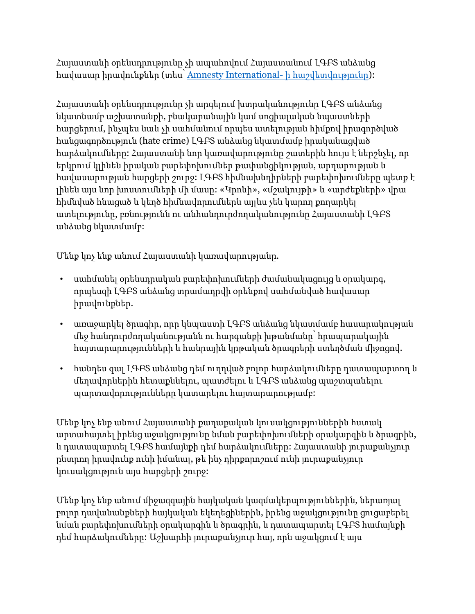Հայաստանի օրենսդրությունը չի ապահովում Հայաստանում ԼԳԲՏ անձանց հավասար իրավունքներ (տես՝ Amnesty International- ի հաշվետվությունը):

Հայաստանի օրենսդրությունը չի արգելում խտրականությունը ԼԳԲՏ անձանց նկատնամբ աշխատանքի, բնակարանային կամ սոցիալական նպաստների հարցերում, ինչպես նաև չի սահմանում որպես ատելության հիմքով իրագործված հանցագործություն (hate crime) ԼԳԲՏ անձանց նկատմամբ իրականացված հարձակումները: Հայաստանի նոր կառավարությունը շատերին հույս է ներշնչել, որ երկրում կլինեն իրական բարեփոխումներ թափանցիկության, արդարության և հավասարության հարցերի շուրջ: ԼԳԲՏ հիմնախնդիրների բարեփոխումները պետք է լինեն այս նոր խոստումների մի մասը: «Կրոնի», «մշակույթի» և «արժեքների» վրա հիմնված հնացած և կեղծ հիմնավորումներն այլևս չեն կարող քողարկել ատելությունը, բռնությունն ու անհանդուրժողականությունը Հայաստանի ԼԳԲՏ անձանց նկատմամբ:

Մենք կոչ ենք անում Հայաստանի կառավարությանը.

- սահմանել օրենսդրական բարեփոխումների ժամանակացույց և օրակարգ, որպեսզի ԼԳԲՏ անձանց տրամադրվի օրենքով սահմանված հավասար իրավունքներ.
- առաջարկել ծրագիր, որը կնպաստի ԼԳԲՏ անձանց նկատմամբ հասարակության մեջ հանդուրժողականությանն ու հարգանքի խթանմանը՝ հրապարակային հայտարարությունների և հանրային կրթական ծրագրերի ստեղծման միջոցով.
- հանդես գալ ԼԳԲՏ անձանց դեմ ուղղված բոլոր հարձակումները դատապարտող և մեղավորներին հետաքննելու, պատժելու և ԼԳԲՏ անձանց պաշտպանելու պարտավորությունները կատարելու հայտարարությամբ:

Մենք կոչ ենք անում Հայաստանի քաղաքական կուսակցություններին հստակ արտահայտել իրենց աջակցությունը նման բարեփոխումների օրակարգին և ծրագրին, և դատապարտել ԼԳԲՏ համայնքի դեմ հարձակումները: Հայաստանի յուրաքանչյուր ընտրող իրավունք ունի իմանալ, թե ինչ դիրքորոշում ունի յուրաքանչյուր կուսակցություն այս հարցերի շուրջ:

Մենք կոչ ենք անում միջազգային հայկական կազմակերպություններին, ներառյալ բոլոր դավանանքների հայկական եկեղեցիներին, իրենց աջակցությունը ցուցաբերել նման բարեփոխումների օրակարգին և ծրագրին, և դատապարտել ԼԳԲՏ համայնքի դեմ հարձակումները: Աշխարհի յուրաքանչյուր հայ, որն աջակցում է այս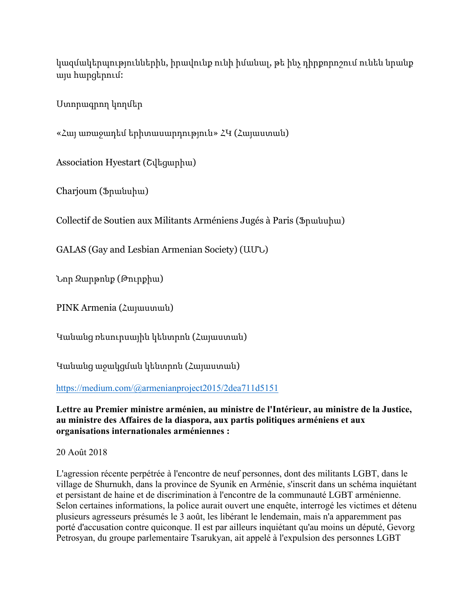կազմակերպություններին, իրավունք ունի իմանալ, թե ինչ դիրքորոշում ունեն նրանք այս հարցերում:

Ստորագրող կողմեր

«Հայ առաջադեմ երիտասարդություն» ՀԿ (Հայաստան)

Association Hyestart (Շվեցարիա)

Charjoum (Ֆրանսիա)

Collectif de Soutien aux Militants Arméniens Jugés à Paris (Ֆրանսիա)

GALAS (Gay and Lesbian Armenian Society) (ԱՄՆ)

Նոր Զարթոնք (Թուրքիա)

PINK Armenia (Հայաստան)

Կանանց ռեսուրսային կենտրոն (Հայաստան)

Կանանց աջակցման կենտրոն (Հայաստան)

https://medium.com/@armenianproject2015/2dea711d5151

**Lettre au Premier ministre arménien, au ministre de l'Intérieur, au ministre de la Justice, au ministre des Affaires de la diaspora, aux partis politiques arméniens et aux organisations internationales arméniennes :**

20 Août 2018

L'agression récente perpétrée à l'encontre de neuf personnes, dont des militants LGBT, dans le village de Shurnukh, dans la province de Syunik en Arménie, s'inscrit dans un schéma inquiétant et persistant de haine et de discrimination à l'encontre de la communauté LGBT arménienne. Selon certaines informations, la police aurait ouvert une enquête, interrogé les victimes et détenu plusieurs agresseurs présumés le 3 août, les libérant le lendemain, mais n'a apparemment pas porté d'accusation contre quiconque. Il est par ailleurs inquiétant qu'au moins un député, Gevorg Petrosyan, du groupe parlementaire Tsarukyan, ait appelé à l'expulsion des personnes LGBT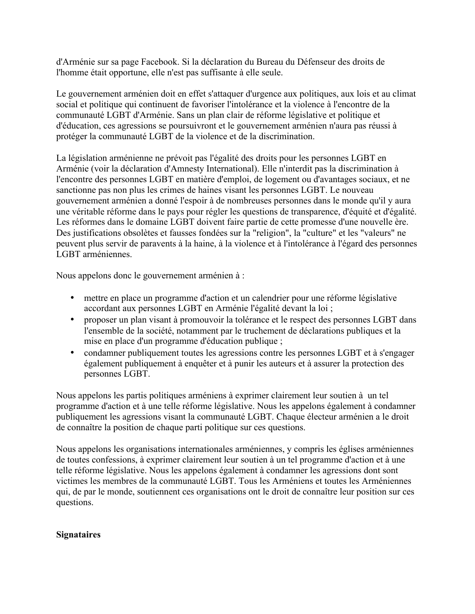d'Arménie sur sa page Facebook. Si la déclaration du Bureau du Défenseur des droits de l'homme était opportune, elle n'est pas suffisante à elle seule.

Le gouvernement arménien doit en effet s'attaquer d'urgence aux politiques, aux lois et au climat social et politique qui continuent de favoriser l'intolérance et la violence à l'encontre de la communauté LGBT d'Arménie. Sans un plan clair de réforme législative et politique et d'éducation, ces agressions se poursuivront et le gouvernement arménien n'aura pas réussi à protéger la communauté LGBT de la violence et de la discrimination.

La législation arménienne ne prévoit pas l'égalité des droits pour les personnes LGBT en Arménie (voir la déclaration d'Amnesty International). Elle n'interdit pas la discrimination à l'encontre des personnes LGBT en matière d'emploi, de logement ou d'avantages sociaux, et ne sanctionne pas non plus les crimes de haines visant les personnes LGBT. Le nouveau gouvernement arménien a donné l'espoir à de nombreuses personnes dans le monde qu'il y aura une véritable réforme dans le pays pour régler les questions de transparence, d'équité et d'égalité. Les réformes dans le domaine LGBT doivent faire partie de cette promesse d'une nouvelle ère. Des justifications obsolètes et fausses fondées sur la "religion", la "culture" et les "valeurs" ne peuvent plus servir de paravents à la haine, à la violence et à l'intolérance à l'égard des personnes LGBT arméniennes.

Nous appelons donc le gouvernement arménien à :

- mettre en place un programme d'action et un calendrier pour une réforme législative accordant aux personnes LGBT en Arménie l'égalité devant la loi ;
- proposer un plan visant à promouvoir la tolérance et le respect des personnes LGBT dans l'ensemble de la société, notamment par le truchement de déclarations publiques et la mise en place d'un programme d'éducation publique ;
- condamner publiquement toutes les agressions contre les personnes LGBT et à s'engager également publiquement à enquêter et à punir les auteurs et à assurer la protection des personnes LGBT.

Nous appelons les partis politiques arméniens à exprimer clairement leur soutien à un tel programme d'action et à une telle réforme législative. Nous les appelons également à condamner publiquement les agressions visant la communauté LGBT. Chaque électeur arménien a le droit de connaître la position de chaque parti politique sur ces questions.

Nous appelons les organisations internationales arméniennes, y compris les églises arméniennes de toutes confessions, à exprimer clairement leur soutien à un tel programme d'action et à une telle réforme législative. Nous les appelons également à condamner les agressions dont sont victimes les membres de la communauté LGBT. Tous les Arméniens et toutes les Arméniennes qui, de par le monde, soutiennent ces organisations ont le droit de connaître leur position sur ces questions.

#### **Signataires**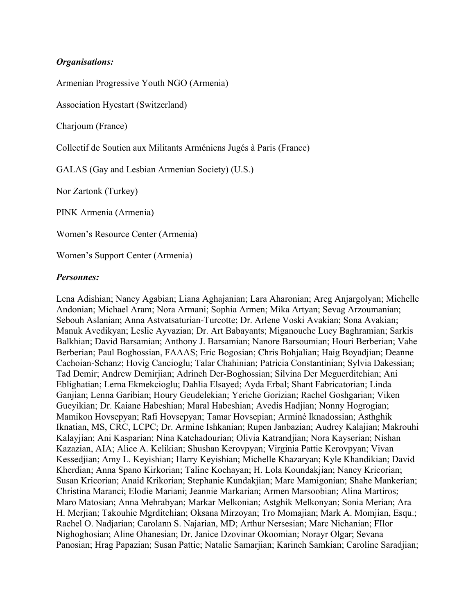## *Organisations:*

Armenian Progressive Youth NGO (Armenia)

Association Hyestart (Switzerland)

Charjoum (France)

Collectif de Soutien aux Militants Arméniens Jugés à Paris (France)

GALAS (Gay and Lesbian Armenian Society) (U.S.)

Nor Zartonk (Turkey)

PINK Armenia (Armenia)

Women's Resource Center (Armenia)

Women's Support Center (Armenia)

#### *Personnes:*

Lena Adishian; Nancy Agabian; Liana Aghajanian; Lara Aharonian; Areg Anjargolyan; Michelle Andonian; Michael Aram; Nora Armani; Sophia Armen; Mika Artyan; Sevag Arzoumanian; Sebouh Aslanian; Anna Astvatsaturian-Turcotte; Dr. Arlene Voski Avakian; Sona Avakian; Manuk Avedikyan; Leslie Ayvazian; Dr. Art Babayants; Miganouche Lucy Baghramian; Sarkis Balkhian; David Barsamian; Anthony J. Barsamian; Nanore Barsoumian; Houri Berberian; Vahe Berberian; Paul Boghossian, FAAAS; Eric Bogosian; Chris Bohjalian; Haig Boyadjian; Deanne Cachoian-Schanz; Hovig Cancioglu; Talar Chahinian; Patricia Constantinian; Sylvia Dakessian; Tad Demir; Andrew Demirjian; Adrineh Der-Boghossian; Silvina Der Meguerditchian; Ani Eblighatian; Lerna Ekmekcioglu; Dahlia Elsayed; Ayda Erbal; Shant Fabricatorian; Linda Ganjian; Lenna Garibian; Houry Geudelekian; Yeriche Gorizian; Rachel Goshgarian; Viken Gueyikian; Dr. Kaiane Habeshian; Maral Habeshian; Avedis Hadjian; Nonny Hogrogian; Mamikon Hovsepyan; Rafi Hovsepyan; Tamar Hovsepian; Arminé Iknadossian; Asthghik Iknatian, MS, CRC, LCPC; Dr. Armine Ishkanian; Rupen Janbazian; Audrey Kalajian; Makrouhi Kalayjian; Ani Kasparian; Nina Katchadourian; Olivia Katrandjian; Nora Kayserian; Nishan Kazazian, AIA; Alice A. Kelikian; Shushan Kerovpyan; Virginia Pattie Kerovpyan; Vivan Kessedjian; Amy L. Keyishian; Harry Keyishian; Michelle Khazaryan; Kyle Khandikian; David Kherdian; Anna Spano Kirkorian; Taline Kochayan; H. Lola Koundakjian; Nancy Kricorian; Susan Kricorian; Anaid Krikorian; Stephanie Kundakjian; Marc Mamigonian; Shahe Mankerian; Christina Maranci; Elodie Mariani; Jeannie Markarian; Armen Marsoobian; Alina Martiros; Maro Matosian; Anna Mehrabyan; Markar Melkonian; Astghik Melkonyan; Sonia Merian; Ara H. Merjian; Takouhie Mgrditchian; Oksana Mirzoyan; Tro Momajian; Mark A. Momjian, Esqu.; Rachel O. Nadjarian; Carolann S. Najarian, MD; Arthur Nersesian; Marc Nichanian; FIlor Nighoghosian; Aline Ohanesian; Dr. Janice Dzovinar Okoomian; Norayr Olgar; Sevana Panosian; Hrag Papazian; Susan Pattie; Natalie Samarjian; Karineh Samkian; Caroline Saradjian;